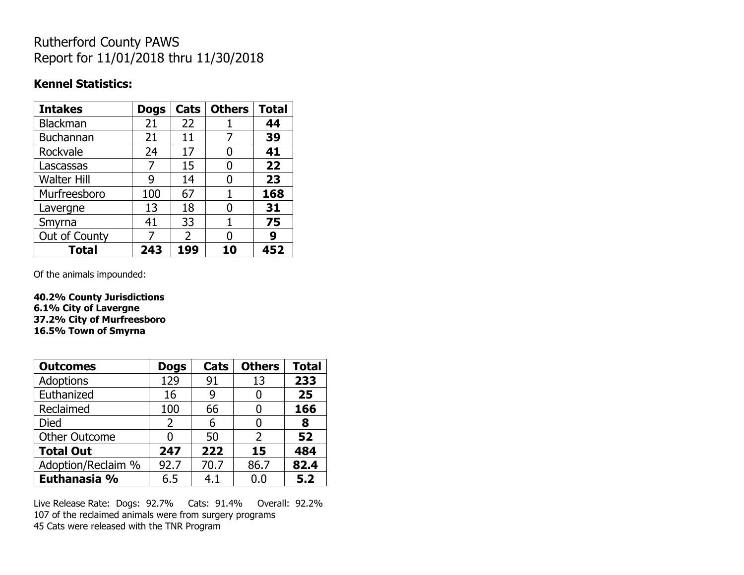## Rutherford County PAWS Report for 11/01/2018 thru 11/30/2018

#### **Kennel Statistics:**

| <b>Intakes</b>     | <b>Dogs</b> | Cats          | <b>Others</b> | <b>Total</b> |
|--------------------|-------------|---------------|---------------|--------------|
| <b>Blackman</b>    | 21          | 22            |               | 44           |
| <b>Buchannan</b>   | 21          | 11            |               | 39           |
| Rockvale           | 24          | 17            | 0             | 41           |
| Lascassas          | 7           | 15            | 0             | 22           |
| <b>Walter Hill</b> | 9           | 14            | O             | 23           |
| Murfreesboro       | 100         | 67            |               | 168          |
| Lavergne           | 13          | 18            | O             | 31           |
| Smyrna             | 41          | 33            | 1             | 75           |
| Out of County      | 7           | $\mathcal{P}$ | N             | 9            |
| <b>Total</b>       | 243         | 199           | 10            | 452          |

Of the animals impounded:

**40.2% County Jurisdictions 6.1% City of Lavergne 37.2% City of Murfreesboro 16.5% Town of Smyrna**

| <b>Outcomes</b>      | <b>Dogs</b>    | Cats | <b>Others</b> | <b>Total</b> |
|----------------------|----------------|------|---------------|--------------|
| <b>Adoptions</b>     | 129            | 91   | 13            | 233          |
| Euthanized           | 16             | 9    |               | 25           |
| Reclaimed            | 100            | 66   |               | 166          |
| <b>Died</b>          | $\overline{2}$ | 6    |               | 8            |
| <b>Other Outcome</b> | O              | 50   | 2             | 52           |
| <b>Total Out</b>     | 247            | 222  | 15            | 484          |
| Adoption/Reclaim %   | 92.7           | 70.7 | 86.7          | 82.4         |
| Euthanasia %         | 6.5            | 4.1  | 0.0           | 5.2          |

Live Release Rate: Dogs: 92.7% Cats: 91.4% Overall: 92.2% 107 of the reclaimed animals were from surgery programs 45 Cats were released with the TNR Program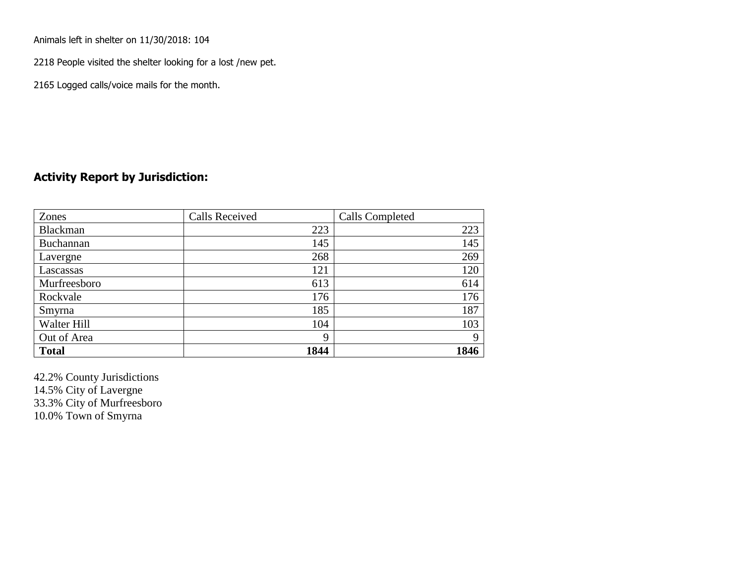Animals left in shelter on 11/30/2018: 104

2218 People visited the shelter looking for a lost /new pet.

2165 Logged calls/voice mails for the month.

### **Activity Report by Jurisdiction:**

| Zones        | <b>Calls Received</b> | Calls Completed |
|--------------|-----------------------|-----------------|
| Blackman     | 223                   | 223             |
| Buchannan    | 145                   | 145             |
| Lavergne     | 268                   | 269             |
| Lascassas    | 121                   | 120             |
| Murfreesboro | 613                   | 614             |
| Rockvale     | 176                   | 176             |
| Smyrna       | 185                   | 187             |
| Walter Hill  | 104                   | 103             |
| Out of Area  | 9                     | 9               |
| <b>Total</b> | 1844                  | 1846            |

42.2% County Jurisdictions 14.5% City of Lavergne 33.3% City of Murfreesboro 10.0% Town of Smyrna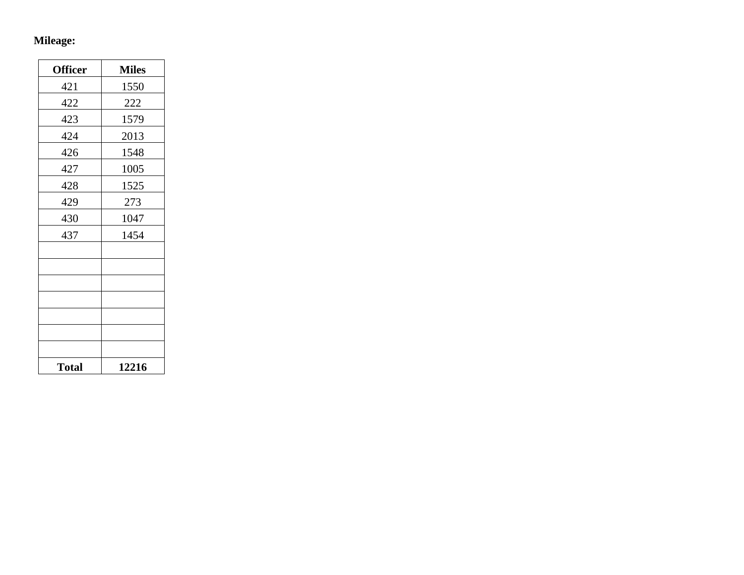## **Mileage:**

| <b>Officer</b> | <b>Miles</b> |
|----------------|--------------|
| 421            | 1550         |
| 422            | 222          |
| 423            | 1579         |
| 424            | 2013         |
| 426            | 1548         |
| 427            | 1005         |
| 428            | 1525         |
| 429            | 273          |
| 430            | 1047         |
| 437            | 1454         |
|                |              |
|                |              |
|                |              |
|                |              |
|                |              |
|                |              |
|                |              |
| <b>Total</b>   | 12216        |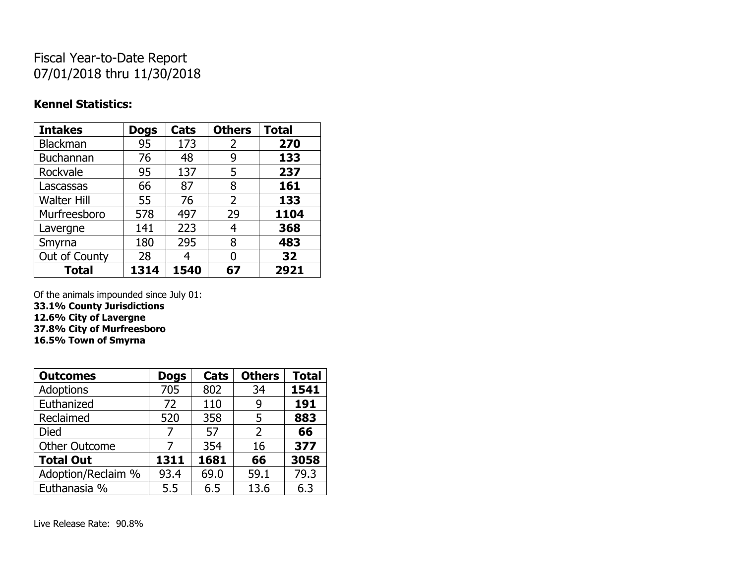# Fiscal Year-to-Date Report 07/01/2018 thru 11/30/2018

### **Kennel Statistics:**

| <b>Intakes</b>     | <b>Dogs</b> | Cats | <b>Others</b> | <b>Total</b> |
|--------------------|-------------|------|---------------|--------------|
| Blackman           | 95          | 173  | 2             | 270          |
| <b>Buchannan</b>   | 76          | 48   | 9             | 133          |
| Rockvale           | 95          | 137  | 5             | 237          |
| Lascassas          | 66          | 87   | 8             | 161          |
| <b>Walter Hill</b> | 55          | 76   | 2             | 133          |
| Murfreesboro       | 578         | 497  | 29            | 1104         |
| Lavergne           | 141         | 223  | 4             | 368          |
| Smyrna             | 180         | 295  | 8             | 483          |
| Out of County      | 28          | 4    | 0             | 32           |
| <b>Total</b>       | 1314        | 1540 | 67            | 2921         |

Of the animals impounded since July 01:

**33.1% County Jurisdictions**

**12.6% City of Lavergne 37.8% City of Murfreesboro**

**16.5% Town of Smyrna**

| <b>Outcomes</b>      | <b>Dogs</b> | Cats | <b>Others</b>  | <b>Total</b> |
|----------------------|-------------|------|----------------|--------------|
| <b>Adoptions</b>     | 705         | 802  | 34             | 1541         |
| Euthanized           | 72          | 110  | 9              | 191          |
| Reclaimed            | 520         | 358  | 5              | 883          |
| <b>Died</b>          |             | 57   | $\overline{2}$ | 66           |
| <b>Other Outcome</b> |             | 354  | 16             | 377          |
| <b>Total Out</b>     | 1311        | 1681 | 66             | 3058         |
| Adoption/Reclaim %   | 93.4        | 69.0 | 59.1           | 79.3         |
| Euthanasia %         | 5.5         | 6.5  | 13.6           | 6.3          |

Live Release Rate: 90.8%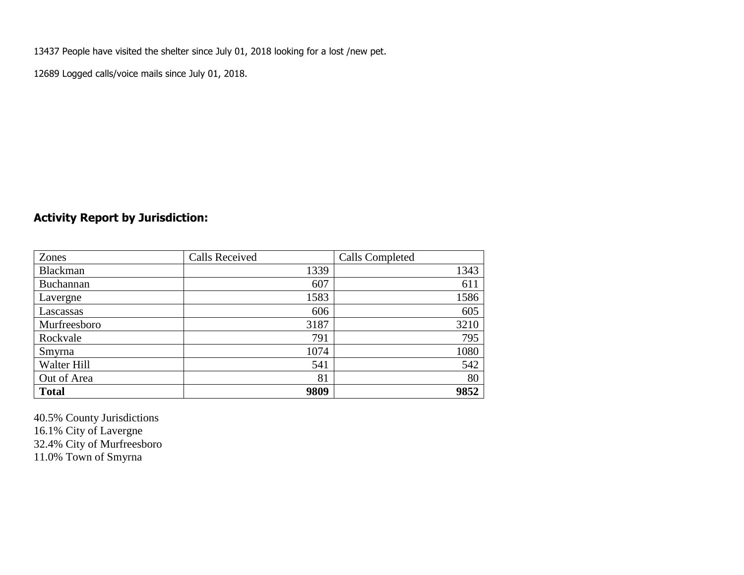13437 People have visited the shelter since July 01, 2018 looking for a lost /new pet.

12689 Logged calls/voice mails since July 01, 2018.

## **Activity Report by Jurisdiction:**

| Zones           | <b>Calls Received</b> | Calls Completed |
|-----------------|-----------------------|-----------------|
| <b>Blackman</b> | 1339                  | 1343            |
| Buchannan       | 607                   | 611             |
| Lavergne        | 1583                  | 1586            |
| Lascassas       | 606                   | 605             |
| Murfreesboro    | 3187                  | 3210            |
| Rockvale        | 791                   | 795             |
| Smyrna          | 1074                  | 1080            |
| Walter Hill     | 541                   | 542             |
| Out of Area     | 81                    | 80              |
| <b>Total</b>    | 9809                  | 9852            |

40.5% County Jurisdictions 16.1% City of Lavergne 32.4% City of Murfreesboro 11.0% Town of Smyrna